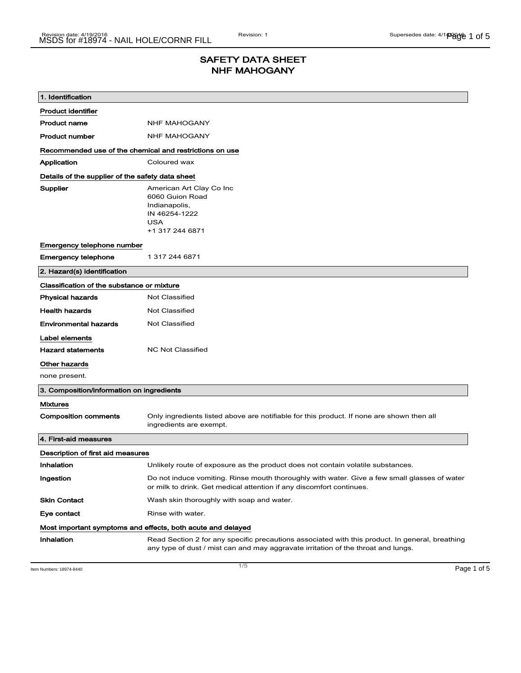## SAFETY DATA SHEET NHF MAHOGANY

| 1. Identification                                           |                                                                                                                                                                                      |  |
|-------------------------------------------------------------|--------------------------------------------------------------------------------------------------------------------------------------------------------------------------------------|--|
| <b>Product identifier</b>                                   |                                                                                                                                                                                      |  |
| <b>Product name</b>                                         | <b>NHF MAHOGANY</b>                                                                                                                                                                  |  |
| <b>Product number</b>                                       | <b>NHF MAHOGANY</b>                                                                                                                                                                  |  |
| Recommended use of the chemical and restrictions on use     |                                                                                                                                                                                      |  |
| Application                                                 | Coloured wax                                                                                                                                                                         |  |
| Details of the supplier of the safety data sheet            |                                                                                                                                                                                      |  |
| Supplier                                                    | American Art Clay Co Inc<br>6060 Guion Road<br>Indianapolis,<br>IN 46254-1222<br><b>USA</b><br>+1 317 244 6871                                                                       |  |
| Emergency telephone number                                  |                                                                                                                                                                                      |  |
| <b>Emergency telephone</b>                                  | 1 317 244 6871                                                                                                                                                                       |  |
| 2. Hazard(s) identification                                 |                                                                                                                                                                                      |  |
| Classification of the substance or mixture                  |                                                                                                                                                                                      |  |
| <b>Physical hazards</b>                                     | <b>Not Classified</b>                                                                                                                                                                |  |
| <b>Health hazards</b>                                       | <b>Not Classified</b>                                                                                                                                                                |  |
| <b>Environmental hazards</b>                                | <b>Not Classified</b>                                                                                                                                                                |  |
| Label elements                                              |                                                                                                                                                                                      |  |
| <b>Hazard statements</b>                                    | <b>NC Not Classified</b>                                                                                                                                                             |  |
| Other hazards                                               |                                                                                                                                                                                      |  |
| none present.                                               |                                                                                                                                                                                      |  |
| 3. Composition/information on ingredients                   |                                                                                                                                                                                      |  |
| <b>Mixtures</b>                                             |                                                                                                                                                                                      |  |
| <b>Composition comments</b>                                 | Only ingredients listed above are notifiable for this product. If none are shown then all<br>ingredients are exempt.                                                                 |  |
| 4. First-aid measures                                       |                                                                                                                                                                                      |  |
| Description of first aid measures                           |                                                                                                                                                                                      |  |
| Inhalation                                                  | Unlikely route of exposure as the product does not contain volatile substances.                                                                                                      |  |
| Ingestion                                                   | Do not induce vomiting. Rinse mouth thoroughly with water. Give a few small glasses of water<br>or milk to drink. Get medical attention if any discomfort continues.                 |  |
| <b>Skin Contact</b>                                         | Wash skin thoroughly with soap and water.                                                                                                                                            |  |
| Eye contact                                                 | Rinse with water.                                                                                                                                                                    |  |
| Most important symptoms and effects, both acute and delayed |                                                                                                                                                                                      |  |
| Inhalation                                                  | Read Section 2 for any specific precautions associated with this product. In general, breathing<br>any type of dust / mist can and may aggravate irritation of the throat and lungs. |  |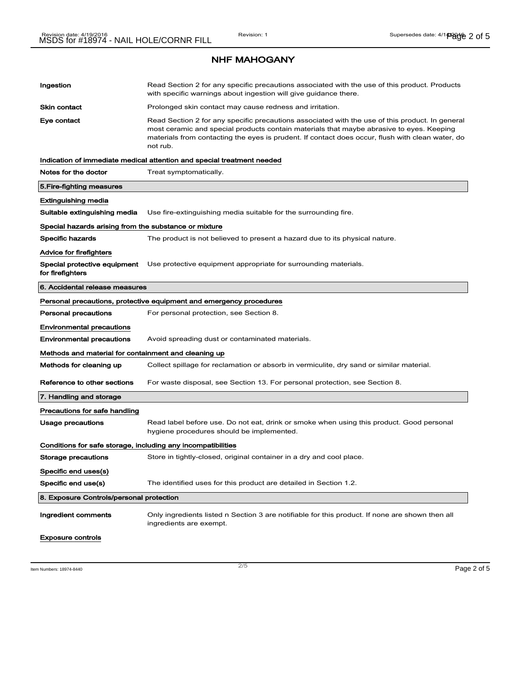| Ingestion                                                    | Read Section 2 for any specific precautions associated with the use of this product. Products<br>with specific warnings about ingestion will give guidance there.                                                                                                                                           |  |
|--------------------------------------------------------------|-------------------------------------------------------------------------------------------------------------------------------------------------------------------------------------------------------------------------------------------------------------------------------------------------------------|--|
| Skin contact                                                 | Prolonged skin contact may cause redness and irritation.                                                                                                                                                                                                                                                    |  |
| Eye contact                                                  | Read Section 2 for any specific precautions associated with the use of this product. In general<br>most ceramic and special products contain materials that maybe abrasive to eyes. Keeping<br>materials from contacting the eyes is prudent. If contact does occur, flush with clean water, do<br>not rub. |  |
|                                                              | Indication of immediate medical attention and special treatment needed                                                                                                                                                                                                                                      |  |
| Notes for the doctor                                         | Treat symptomatically.                                                                                                                                                                                                                                                                                      |  |
| 5. Fire-fighting measures                                    |                                                                                                                                                                                                                                                                                                             |  |
| Extinguishing media                                          |                                                                                                                                                                                                                                                                                                             |  |
| Suitable extinguishing media                                 | Use fire-extinguishing media suitable for the surrounding fire.                                                                                                                                                                                                                                             |  |
| Special hazards arising from the substance or mixture        |                                                                                                                                                                                                                                                                                                             |  |
| Specific hazards                                             | The product is not believed to present a hazard due to its physical nature.                                                                                                                                                                                                                                 |  |
| Advice for firefighters                                      |                                                                                                                                                                                                                                                                                                             |  |
| Special protective equipment<br>for firefighters             | Use protective equipment appropriate for surrounding materials.                                                                                                                                                                                                                                             |  |
| 6. Accidental release measures                               |                                                                                                                                                                                                                                                                                                             |  |
|                                                              | Personal precautions, protective equipment and emergency procedures                                                                                                                                                                                                                                         |  |
| <b>Personal precautions</b>                                  | For personal protection, see Section 8.                                                                                                                                                                                                                                                                     |  |
| <b>Environmental precautions</b>                             |                                                                                                                                                                                                                                                                                                             |  |
| <b>Environmental precautions</b>                             | Avoid spreading dust or contaminated materials.                                                                                                                                                                                                                                                             |  |
| Methods and material for containment and cleaning up         |                                                                                                                                                                                                                                                                                                             |  |
| Methods for cleaning up                                      | Collect spillage for reclamation or absorb in vermiculite, dry sand or similar material.                                                                                                                                                                                                                    |  |
| Reference to other sections                                  | For waste disposal, see Section 13. For personal protection, see Section 8.                                                                                                                                                                                                                                 |  |
| 7. Handling and storage                                      |                                                                                                                                                                                                                                                                                                             |  |
| Precautions for safe handling                                |                                                                                                                                                                                                                                                                                                             |  |
| Usage precautions                                            | Read label before use. Do not eat, drink or smoke when using this product. Good personal<br>hygiene procedures should be implemented.                                                                                                                                                                       |  |
| Conditions for safe storage, including any incompatibilities |                                                                                                                                                                                                                                                                                                             |  |
| Storage precautions                                          | Store in tightly-closed, original container in a dry and cool place.                                                                                                                                                                                                                                        |  |
| Specific end uses(s)                                         |                                                                                                                                                                                                                                                                                                             |  |
| Specific end use(s)                                          | The identified uses for this product are detailed in Section 1.2.                                                                                                                                                                                                                                           |  |
| 8. Exposure Controls/personal protection                     |                                                                                                                                                                                                                                                                                                             |  |
| Ingredient comments                                          | Only ingredients listed n Section 3 are notifiable for this product. If none are shown then all<br>ingredients are exempt.                                                                                                                                                                                  |  |
| <b>Exposure controls</b>                                     |                                                                                                                                                                                                                                                                                                             |  |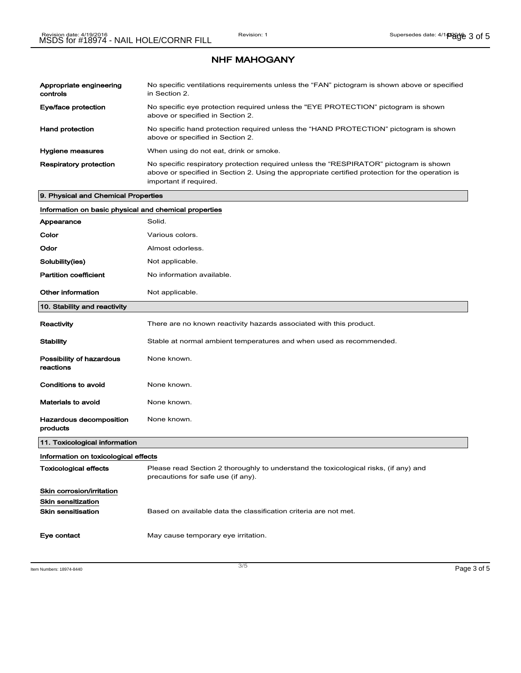| Appropriate engineering<br>controls | No specific ventilations requirements unless the "FAN" pictogram is shown above or specified<br>in Section 2.                                                                                                        |
|-------------------------------------|----------------------------------------------------------------------------------------------------------------------------------------------------------------------------------------------------------------------|
| Eye/face protection                 | No specific eye protection required unless the "EYE PROTECTION" pictogram is shown<br>above or specified in Section 2.                                                                                               |
| <b>Hand protection</b>              | No specific hand protection required unless the "HAND PROTECTION" pictogram is shown<br>above or specified in Section 2.                                                                                             |
| <b>Hygiene measures</b>             | When using do not eat, drink or smoke.                                                                                                                                                                               |
| <b>Respiratory protection</b>       | No specific respiratory protection required unless the "RESPIRATOR" pictogram is shown<br>above or specified in Section 2. Using the appropriate certified protection for the operation is<br>important if required. |

## 9. Physical and Chemical Properties

| Information on basic physical and chemical properties |                                                                                                                            |  |
|-------------------------------------------------------|----------------------------------------------------------------------------------------------------------------------------|--|
| Appearance                                            | Solid.                                                                                                                     |  |
| Color                                                 | Various colors.                                                                                                            |  |
| Odor                                                  | Almost odorless.                                                                                                           |  |
| Solubility(ies)                                       | Not applicable.                                                                                                            |  |
| <b>Partition coefficient</b>                          | No information available.                                                                                                  |  |
| <b>Other information</b>                              | Not applicable.                                                                                                            |  |
| 10. Stability and reactivity                          |                                                                                                                            |  |
| Reactivity                                            | There are no known reactivity hazards associated with this product.                                                        |  |
| <b>Stability</b>                                      | Stable at normal ambient temperatures and when used as recommended.                                                        |  |
| Possibility of hazardous<br>reactions                 | None known.                                                                                                                |  |
| <b>Conditions to avoid</b>                            | None known.                                                                                                                |  |
| Materials to avoid                                    | None known.                                                                                                                |  |
| Hazardous decomposition<br>products                   | None known.                                                                                                                |  |
| 11. Toxicological information                         |                                                                                                                            |  |
| Information on toxicological effects                  |                                                                                                                            |  |
| <b>Toxicological effects</b>                          | Please read Section 2 thoroughly to understand the toxicological risks, (if any) and<br>precautions for safe use (if any). |  |
| Skin corrosion/irritation                             |                                                                                                                            |  |
| <b>Skin sensitization</b>                             |                                                                                                                            |  |
| Skin sensitisation                                    | Based on available data the classification criteria are not met.                                                           |  |
| Eye contact                                           | May cause temporary eye irritation.                                                                                        |  |

Item Numbers: 18974-8440 **Page 3 of 5**  $\frac{3}{5}$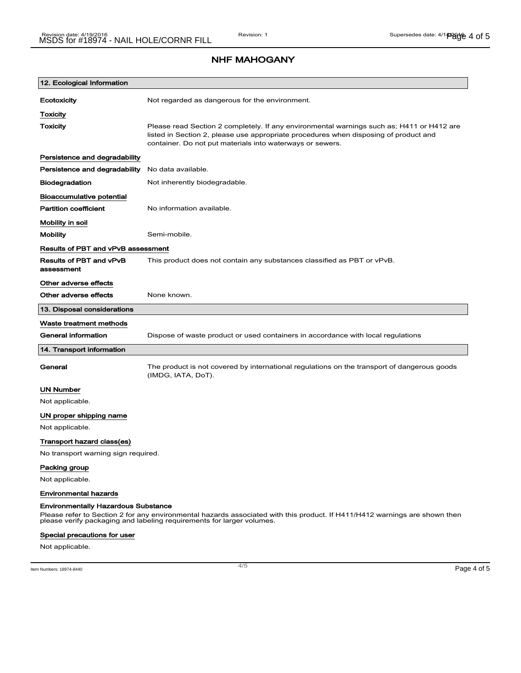| 12. Ecological Information                                                                                                                                                                                                                        |                                                                                                                                                                                                                                                |  |
|---------------------------------------------------------------------------------------------------------------------------------------------------------------------------------------------------------------------------------------------------|------------------------------------------------------------------------------------------------------------------------------------------------------------------------------------------------------------------------------------------------|--|
| Ecotoxicity                                                                                                                                                                                                                                       | Not regarded as dangerous for the environment.                                                                                                                                                                                                 |  |
| Toxicity                                                                                                                                                                                                                                          |                                                                                                                                                                                                                                                |  |
| <b>Toxicity</b>                                                                                                                                                                                                                                   | Please read Section 2 completely. If any environmental warnings such as; H411 or H412 are<br>listed in Section 2, please use appropriate procedures when disposing of product and<br>container. Do not put materials into waterways or sewers. |  |
| Persistence and degradability                                                                                                                                                                                                                     |                                                                                                                                                                                                                                                |  |
| Persistence and degradability                                                                                                                                                                                                                     | No data available.                                                                                                                                                                                                                             |  |
| <b>Biodegradation</b>                                                                                                                                                                                                                             | Not inherently biodegradable.                                                                                                                                                                                                                  |  |
| Bioaccumulative potential                                                                                                                                                                                                                         |                                                                                                                                                                                                                                                |  |
| <b>Partition coefficient</b>                                                                                                                                                                                                                      | No information available.                                                                                                                                                                                                                      |  |
| Mobility in soil                                                                                                                                                                                                                                  |                                                                                                                                                                                                                                                |  |
| <b>Mobility</b>                                                                                                                                                                                                                                   | Semi-mobile.                                                                                                                                                                                                                                   |  |
| Results of PBT and vPvB assessment                                                                                                                                                                                                                |                                                                                                                                                                                                                                                |  |
| <b>Results of PBT and vPvB</b><br>assessment                                                                                                                                                                                                      | This product does not contain any substances classified as PBT or vPvB.                                                                                                                                                                        |  |
| Other adverse effects                                                                                                                                                                                                                             |                                                                                                                                                                                                                                                |  |
| Other adverse effects                                                                                                                                                                                                                             | None known.                                                                                                                                                                                                                                    |  |
| 13. Disposal considerations                                                                                                                                                                                                                       |                                                                                                                                                                                                                                                |  |
| Waste treatment methods                                                                                                                                                                                                                           |                                                                                                                                                                                                                                                |  |
| <b>General information</b>                                                                                                                                                                                                                        | Dispose of waste product or used containers in accordance with local regulations                                                                                                                                                               |  |
| 14. Transport information                                                                                                                                                                                                                         |                                                                                                                                                                                                                                                |  |
| General                                                                                                                                                                                                                                           | The product is not covered by international regulations on the transport of dangerous goods<br>(IMDG, IATA, DoT).                                                                                                                              |  |
| UN Number                                                                                                                                                                                                                                         |                                                                                                                                                                                                                                                |  |
| Not applicable.                                                                                                                                                                                                                                   |                                                                                                                                                                                                                                                |  |
| UN proper shipping name                                                                                                                                                                                                                           |                                                                                                                                                                                                                                                |  |
| Not applicable.                                                                                                                                                                                                                                   |                                                                                                                                                                                                                                                |  |
| Transport hazard class(es)                                                                                                                                                                                                                        |                                                                                                                                                                                                                                                |  |
| No transport warning sign required.                                                                                                                                                                                                               |                                                                                                                                                                                                                                                |  |
| Packing group                                                                                                                                                                                                                                     |                                                                                                                                                                                                                                                |  |
| Not applicable.                                                                                                                                                                                                                                   |                                                                                                                                                                                                                                                |  |
| <b>Environmental hazards</b>                                                                                                                                                                                                                      |                                                                                                                                                                                                                                                |  |
| <b>Environmentally Hazardous Substance</b><br>Please refer to Section 2 for any environmental hazards associated with this product. If H411/H412 warnings are shown then<br>please verify packaging and labeling requirements for larger volumes. |                                                                                                                                                                                                                                                |  |
| Special precautions for user                                                                                                                                                                                                                      |                                                                                                                                                                                                                                                |  |

Not applicable.